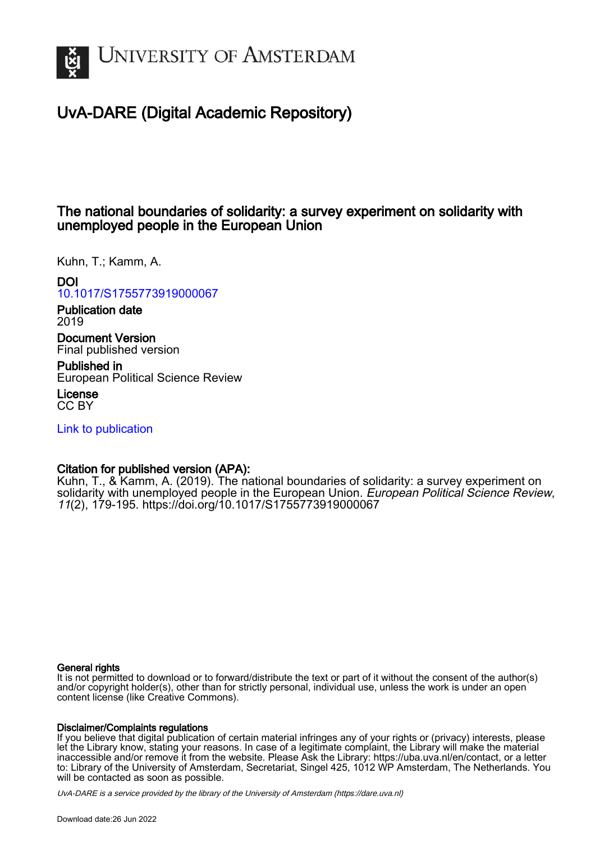

# UvA-DARE (Digital Academic Repository)

# The national boundaries of solidarity: a survey experiment on solidarity with unemployed people in the European Union

Kuhn, T.; Kamm, A.

# DOI

[10.1017/S1755773919000067](https://doi.org/10.1017/S1755773919000067)

Publication date 2019

Document Version Final published version

Published in European Political Science Review

License CC BY

[Link to publication](https://dare.uva.nl/personal/pure/en/publications/the-national-boundaries-of-solidarity-a-survey-experiment-on-solidarity-with-unemployed-people-in-the-european-union(4995c89d-6713-4263-8874-0e0935a5dbd3).html)

# Citation for published version (APA):

Kuhn, T., & Kamm, A. (2019). The national boundaries of solidarity: a survey experiment on solidarity with unemployed people in the European Union. European Political Science Review, 11(2), 179-195.<https://doi.org/10.1017/S1755773919000067>

# General rights

It is not permitted to download or to forward/distribute the text or part of it without the consent of the author(s) and/or copyright holder(s), other than for strictly personal, individual use, unless the work is under an open content license (like Creative Commons).

# Disclaimer/Complaints regulations

If you believe that digital publication of certain material infringes any of your rights or (privacy) interests, please let the Library know, stating your reasons. In case of a legitimate complaint, the Library will make the material inaccessible and/or remove it from the website. Please Ask the Library: https://uba.uva.nl/en/contact, or a letter to: Library of the University of Amsterdam, Secretariat, Singel 425, 1012 WP Amsterdam, The Netherlands. You will be contacted as soon as possible.

UvA-DARE is a service provided by the library of the University of Amsterdam (http*s*://dare.uva.nl)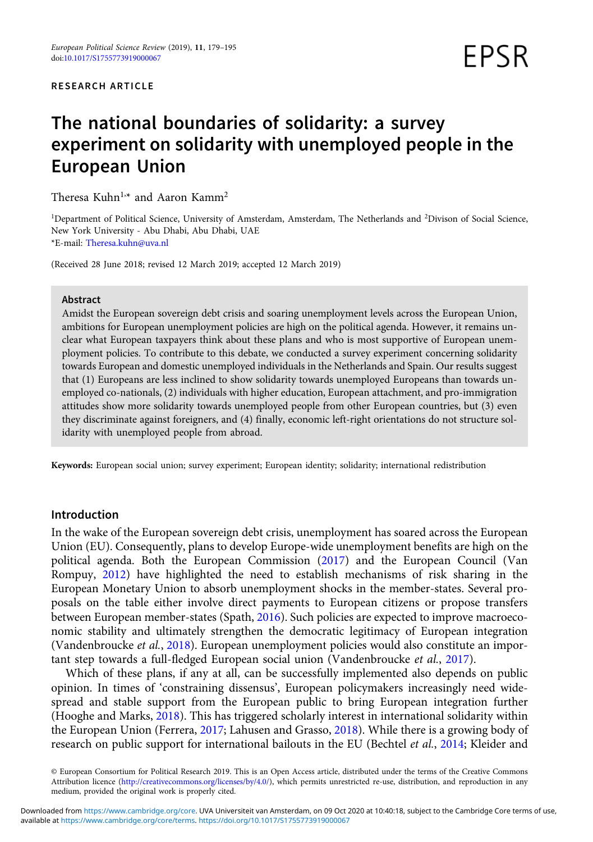# The national boundaries of solidarity: a survey experiment on solidarity with unemployed people in the European Union

Theresa  $Kuhn^{1,*}$  and Aaron  $Kamm^2$ 

<sup>1</sup>Department of Political Science, University of Amsterdam, Amsterdam, The Netherlands and <sup>2</sup>Divison of Social Science, New York University - Abu Dhabi, Abu Dhabi, UAE \*E-mail: [Theresa.kuhn@uva.nl](mailto:Theresa.kuhn@uva.nl)

(Received 28 June 2018; revised 12 March 2019; accepted 12 March 2019)

#### Abstract

Amidst the European sovereign debt crisis and soaring unemployment levels across the European Union, ambitions for European unemployment policies are high on the political agenda. However, it remains unclear what European taxpayers think about these plans and who is most supportive of European unemployment policies. To contribute to this debate, we conducted a survey experiment concerning solidarity towards European and domestic unemployed individuals in the Netherlands and Spain. Our results suggest that (1) Europeans are less inclined to show solidarity towards unemployed Europeans than towards unemployed co-nationals, (2) individuals with higher education, European attachment, and pro-immigration attitudes show more solidarity towards unemployed people from other European countries, but (3) even they discriminate against foreigners, and (4) finally, economic left-right orientations do not structure solidarity with unemployed people from abroad.

Keywords: European social union; survey experiment; European identity; solidarity; international redistribution

### Introduction

In the wake of the European sovereign debt crisis, unemployment has soared across the European Union (EU). Consequently, plans to develop Europe-wide unemployment benefits are high on the political agenda. Both the European Commission [\(2017](#page-15-0)) and the European Council (Van Rompuy, [2012\)](#page-17-0) have highlighted the need to establish mechanisms of risk sharing in the European Monetary Union to absorb unemployment shocks in the member-states. Several proposals on the table either involve direct payments to European citizens or propose transfers between European member-states (Spath, [2016](#page-16-0)). Such policies are expected to improve macroeconomic stability and ultimately strengthen the democratic legitimacy of European integration (Vandenbroucke et al., [2018](#page-17-0)). European unemployment policies would also constitute an impor-tant step towards a full-fledged European social union (Vandenbroucke et al., [2017](#page-17-0)).

Which of these plans, if any at all, can be successfully implemented also depends on public opinion. In times of 'constraining dissensus', European policymakers increasingly need widespread and stable support from the European public to bring European integration further (Hooghe and Marks, [2018](#page-16-0)). This has triggered scholarly interest in international solidarity within the European Union (Ferrera, [2017](#page-15-0); Lahusen and Grasso, [2018\)](#page-16-0). While there is a growing body of research on public support for international bailouts in the EU (Bechtel et al., [2014;](#page-15-0) Kleider and

<sup>©</sup> European Consortium for Political Research 2019. This is an Open Access article, distributed under the terms of the Creative Commons Attribution licence ([http://creativecommons.org/licenses/by/4.0/\)](http://creativecommons.org/licenses/by/4.0/), which permits unrestricted re-use, distribution, and reproduction in any medium, provided the original work is properly cited.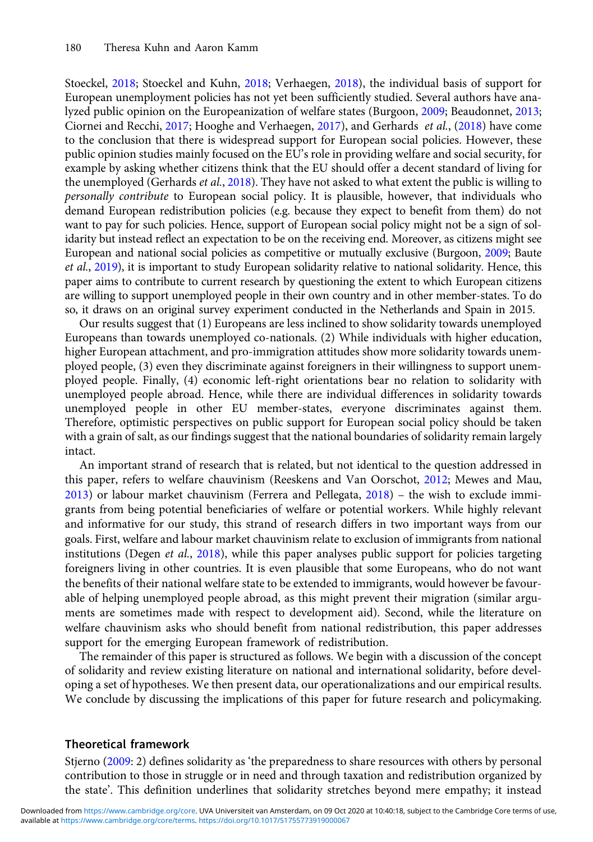Stoeckel, [2018;](#page-16-0) Stoeckel and Kuhn, [2018](#page-16-0); Verhaegen, [2018](#page-17-0)), the individual basis of support for European unemployment policies has not yet been sufficiently studied. Several authors have analyzed public opinion on the Europeanization of welfare states (Burgoon, [2009](#page-15-0); Beaudonnet, [2013](#page-15-0); Ciornei and Recchi, [2017](#page-15-0); Hooghe and Verhaegen, [2017\)](#page-16-0), and Gerhards et al., [\(2018\)](#page-16-0) have come to the conclusion that there is widespread support for European social policies. However, these public opinion studies mainly focused on the EU's role in providing welfare and social security, for example by asking whether citizens think that the EU should offer a decent standard of living for the unemployed (Gerhards et al., [2018\)](#page-16-0). They have not asked to what extent the public is willing to personally contribute to European social policy. It is plausible, however, that individuals who demand European redistribution policies (e.g. because they expect to benefit from them) do not want to pay for such policies. Hence, support of European social policy might not be a sign of solidarity but instead reflect an expectation to be on the receiving end. Moreover, as citizens might see European and national social policies as competitive or mutually exclusive (Burgoon, [2009;](#page-15-0) Baute et al., [2019\)](#page-15-0), it is important to study European solidarity relative to national solidarity. Hence, this paper aims to contribute to current research by questioning the extent to which European citizens are willing to support unemployed people in their own country and in other member-states. To do so, it draws on an original survey experiment conducted in the Netherlands and Spain in 2015.

Our results suggest that (1) Europeans are less inclined to show solidarity towards unemployed Europeans than towards unemployed co-nationals. (2) While individuals with higher education, higher European attachment, and pro-immigration attitudes show more solidarity towards unemployed people, (3) even they discriminate against foreigners in their willingness to support unemployed people. Finally, (4) economic left-right orientations bear no relation to solidarity with unemployed people abroad. Hence, while there are individual differences in solidarity towards unemployed people in other EU member-states, everyone discriminates against them. Therefore, optimistic perspectives on public support for European social policy should be taken with a grain of salt, as our findings suggest that the national boundaries of solidarity remain largely intact.

An important strand of research that is related, but not identical to the question addressed in this paper, refers to welfare chauvinism (Reeskens and Van Oorschot, [2012](#page-16-0); Mewes and Mau, [2013\)](#page-16-0) or labour market chauvinism (Ferrera and Pellegata, [2018\)](#page-15-0) – the wish to exclude immigrants from being potential beneficiaries of welfare or potential workers. While highly relevant and informative for our study, this strand of research differs in two important ways from our goals. First, welfare and labour market chauvinism relate to exclusion of immigrants from national institutions (Degen et al.,  $2018$ ), while this paper analyses public support for policies targeting foreigners living in other countries. It is even plausible that some Europeans, who do not want the benefits of their national welfare state to be extended to immigrants, would however be favourable of helping unemployed people abroad, as this might prevent their migration (similar arguments are sometimes made with respect to development aid). Second, while the literature on welfare chauvinism asks who should benefit from national redistribution, this paper addresses support for the emerging European framework of redistribution.

The remainder of this paper is structured as follows. We begin with a discussion of the concept of solidarity and review existing literature on national and international solidarity, before developing a set of hypotheses. We then present data, our operationalizations and our empirical results. We conclude by discussing the implications of this paper for future research and policymaking.

#### Theoretical framework

Stjerno [\(2009:](#page-16-0) 2) defines solidarity as 'the preparedness to share resources with others by personal contribution to those in struggle or in need and through taxation and redistribution organized by the state'. This definition underlines that solidarity stretches beyond mere empathy; it instead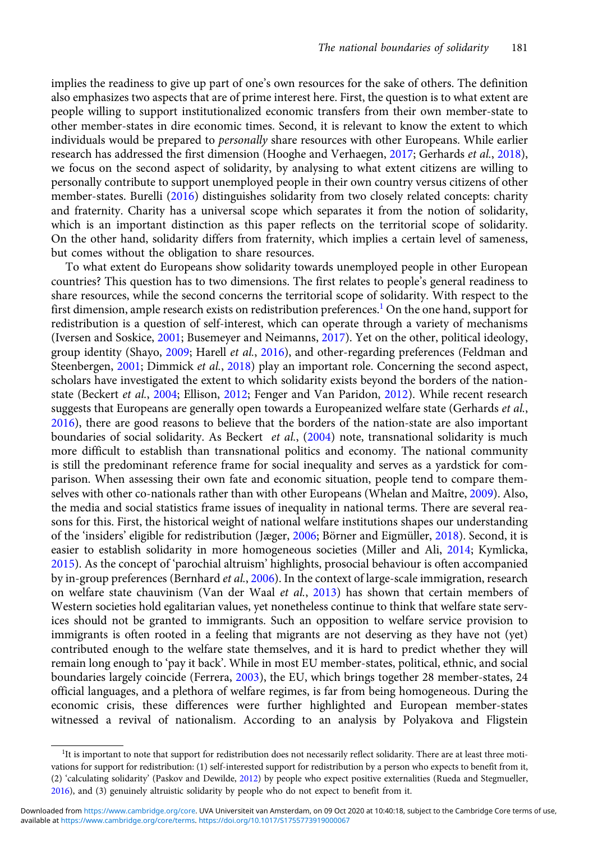implies the readiness to give up part of one's own resources for the sake of others. The definition also emphasizes two aspects that are of prime interest here. First, the question is to what extent are people willing to support institutionalized economic transfers from their own member-state to other member-states in dire economic times. Second, it is relevant to know the extent to which individuals would be prepared to *personally* share resources with other Europeans. While earlier research has addressed the first dimension (Hooghe and Verhaegen, [2017;](#page-16-0) Gerhards et al., [2018](#page-16-0)), we focus on the second aspect of solidarity, by analysing to what extent citizens are willing to personally contribute to support unemployed people in their own country versus citizens of other member-states. Burelli [\(2016\)](#page-15-0) distinguishes solidarity from two closely related concepts: charity and fraternity. Charity has a universal scope which separates it from the notion of solidarity, which is an important distinction as this paper reflects on the territorial scope of solidarity. On the other hand, solidarity differs from fraternity, which implies a certain level of sameness, but comes without the obligation to share resources.

To what extent do Europeans show solidarity towards unemployed people in other European countries? This question has to two dimensions. The first relates to people's general readiness to share resources, while the second concerns the territorial scope of solidarity. With respect to the first dimension, ample research exists on redistribution preferences.<sup>1</sup> On the one hand, support for redistribution is a question of self-interest, which can operate through a variety of mechanisms (Iversen and Soskice, [2001;](#page-16-0) Busemeyer and Neimanns, [2017](#page-15-0)). Yet on the other, political ideology, group identity (Shayo, [2009;](#page-16-0) Harell et al., [2016\)](#page-16-0), and other-regarding preferences (Feldman and Steenbergen, [2001](#page-15-0); Dimmick et al., [2018\)](#page-15-0) play an important role. Concerning the second aspect, scholars have investigated the extent to which solidarity exists beyond the borders of the nation-state (Beckert et al., [2004](#page-15-0); Ellison, [2012;](#page-15-0) Fenger and Van Paridon, [2012\)](#page-15-0). While recent research suggests that Europeans are generally open towards a Europeanized welfare state (Gerhards et al., [2016](#page-15-0)), there are good reasons to believe that the borders of the nation-state are also important boundaries of social solidarity. As Beckert et al., ([2004](#page-15-0)) note, transnational solidarity is much more difficult to establish than transnational politics and economy. The national community is still the predominant reference frame for social inequality and serves as a yardstick for comparison. When assessing their own fate and economic situation, people tend to compare themselves with other co-nationals rather than with other Europeans (Whelan and Maître, [2009](#page-17-0)). Also, the media and social statistics frame issues of inequality in national terms. There are several reasons for this. First, the historical weight of national welfare institutions shapes our understanding of the 'insiders' eligible for redistribution (Jæger, [2006](#page-16-0); Börner and Eigmüller, [2018\)](#page-15-0). Second, it is easier to establish solidarity in more homogeneous societies (Miller and Ali, [2014;](#page-16-0) Kymlicka, [2015](#page-16-0)). As the concept of 'parochial altruism' highlights, prosocial behaviour is often accompanied by in-group preferences (Bernhard et al., [2006](#page-15-0)). In the context of large-scale immigration, research on welfare state chauvinism (Van der Waal et al., [2013](#page-17-0)) has shown that certain members of Western societies hold egalitarian values, yet nonetheless continue to think that welfare state services should not be granted to immigrants. Such an opposition to welfare service provision to immigrants is often rooted in a feeling that migrants are not deserving as they have not (yet) contributed enough to the welfare state themselves, and it is hard to predict whether they will remain long enough to 'pay it back'. While in most EU member-states, political, ethnic, and social boundaries largely coincide (Ferrera, [2003\)](#page-15-0), the EU, which brings together 28 member-states, 24 official languages, and a plethora of welfare regimes, is far from being homogeneous. During the economic crisis, these differences were further highlighted and European member-states witnessed a revival of nationalism. According to an analysis by Polyakova and Fligstein

<sup>&</sup>lt;sup>1</sup>It is important to note that support for redistribution does not necessarily reflect solidarity. There are at least three motivations for support for redistribution: (1) self-interested support for redistribution by a person who expects to benefit from it, (2) 'calculating solidarity' (Paskov and Dewilde, [2012\)](#page-16-0) by people who expect positive externalities (Rueda and Stegmueller, [2016\)](#page-16-0), and (3) genuinely altruistic solidarity by people who do not expect to benefit from it.

available at <https://www.cambridge.org/core/terms>.<https://doi.org/10.1017/S1755773919000067> Downloaded from [https://www.cambridge.org/core.](https://www.cambridge.org/core) UVA Universiteit van Amsterdam, on 09 Oct 2020 at 10:40:18, subject to the Cambridge Core terms of use,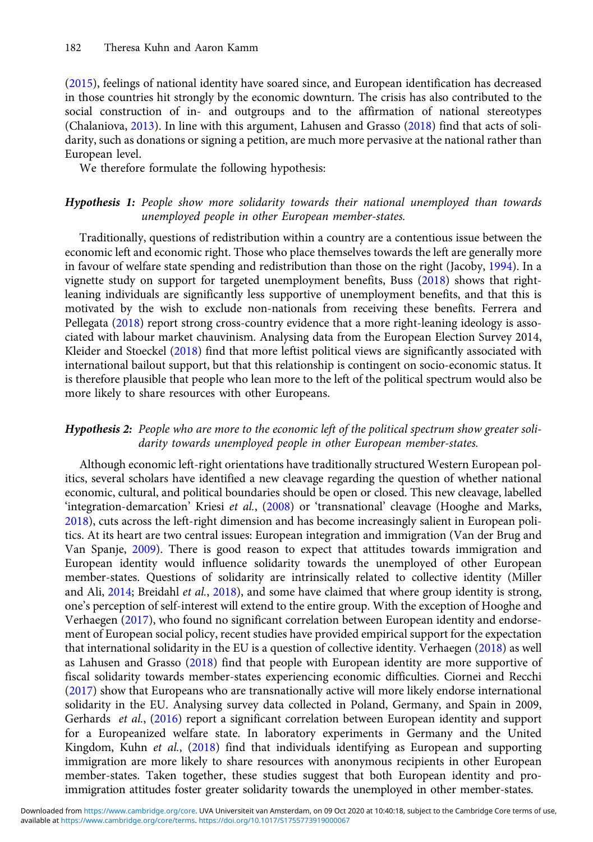([2015](#page-16-0)), feelings of national identity have soared since, and European identification has decreased in those countries hit strongly by the economic downturn. The crisis has also contributed to the social construction of in- and outgroups and to the affirmation of national stereotypes (Chalaniova, [2013](#page-15-0)). In line with this argument, Lahusen and Grasso [\(2018](#page-16-0)) find that acts of solidarity, such as donations or signing a petition, are much more pervasive at the national rather than European level.

We therefore formulate the following hypothesis:

## Hypothesis 1: People show more solidarity towards their national unemployed than towards unemployed people in other European member-states.

Traditionally, questions of redistribution within a country are a contentious issue between the economic left and economic right. Those who place themselves towards the left are generally more in favour of welfare state spending and redistribution than those on the right (Jacoby, [1994](#page-16-0)). In a vignette study on support for targeted unemployment benefits, Buss ([2018\)](#page-15-0) shows that rightleaning individuals are significantly less supportive of unemployment benefits, and that this is motivated by the wish to exclude non-nationals from receiving these benefits. Ferrera and Pellegata ([2018](#page-15-0)) report strong cross-country evidence that a more right-leaning ideology is associated with labour market chauvinism. Analysing data from the European Election Survey 2014, Kleider and Stoeckel ([2018\)](#page-16-0) find that more leftist political views are significantly associated with international bailout support, but that this relationship is contingent on socio-economic status. It is therefore plausible that people who lean more to the left of the political spectrum would also be more likely to share resources with other Europeans.

## Hypothesis 2: People who are more to the economic left of the political spectrum show greater solidarity towards unemployed people in other European member-states.

Although economic left-right orientations have traditionally structured Western European politics, several scholars have identified a new cleavage regarding the question of whether national economic, cultural, and political boundaries should be open or closed. This new cleavage, labelled 'integration-demarcation' Kriesi et al., ([2008](#page-16-0)) or 'transnational' cleavage (Hooghe and Marks, [2018\)](#page-16-0), cuts across the left-right dimension and has become increasingly salient in European politics. At its heart are two central issues: European integration and immigration (Van der Brug and Van Spanje, [2009\)](#page-16-0). There is good reason to expect that attitudes towards immigration and European identity would influence solidarity towards the unemployed of other European member-states. Questions of solidarity are intrinsically related to collective identity (Miller and Ali, [2014](#page-16-0); Breidahl et al., [2018\)](#page-15-0), and some have claimed that where group identity is strong, one's perception of self-interest will extend to the entire group. With the exception of Hooghe and Verhaegen [\(2017\)](#page-16-0), who found no significant correlation between European identity and endorsement of European social policy, recent studies have provided empirical support for the expectation that international solidarity in the EU is a question of collective identity. Verhaegen [\(2018\)](#page-17-0) as well as Lahusen and Grasso ([2018](#page-16-0)) find that people with European identity are more supportive of fiscal solidarity towards member-states experiencing economic difficulties. Ciornei and Recchi ([2017](#page-15-0)) show that Europeans who are transnationally active will more likely endorse international solidarity in the EU. Analysing survey data collected in Poland, Germany, and Spain in 2009, Gerhards et al., [\(2016](#page-15-0)) report a significant correlation between European identity and support for a Europeanized welfare state. In laboratory experiments in Germany and the United Kingdom, Kuhn et al., ([2018](#page-16-0)) find that individuals identifying as European and supporting immigration are more likely to share resources with anonymous recipients in other European member-states. Taken together, these studies suggest that both European identity and proimmigration attitudes foster greater solidarity towards the unemployed in other member-states.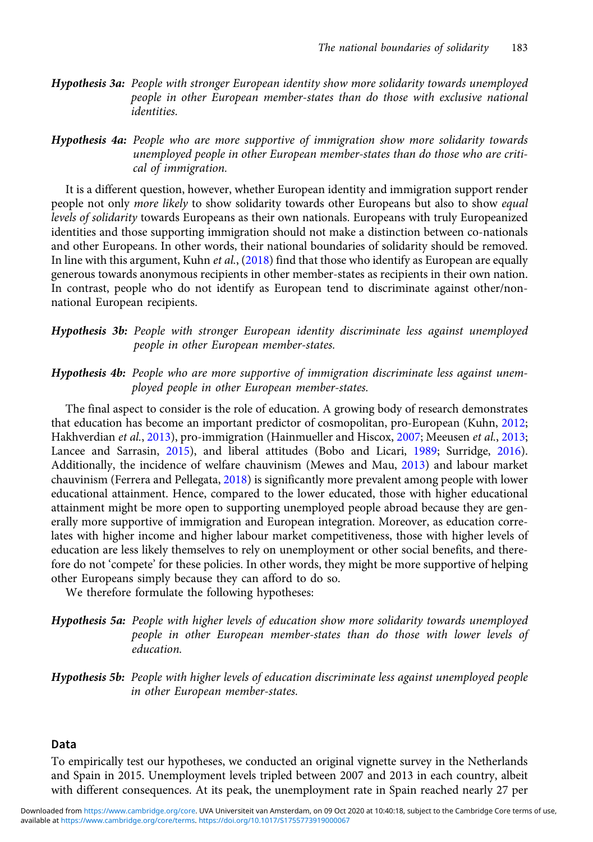- Hypothesis 3a: People with stronger European identity show more solidarity towards unemployed people in other European member-states than do those with exclusive national identities.
- Hypothesis 4a: People who are more supportive of immigration show more solidarity towards unemployed people in other European member-states than do those who are critical of immigration.

It is a different question, however, whether European identity and immigration support render people not only *more likely* to show solidarity towards other Europeans but also to show *equal* levels of solidarity towards Europeans as their own nationals. Europeans with truly Europeanized identities and those supporting immigration should not make a distinction between co-nationals and other Europeans. In other words, their national boundaries of solidarity should be removed. In line with this argument, Kuhn *et al.*, [\(2018\)](#page-16-0) find that those who identify as European are equally generous towards anonymous recipients in other member-states as recipients in their own nation. In contrast, people who do not identify as European tend to discriminate against other/nonnational European recipients.

Hypothesis 3b: People with stronger European identity discriminate less against unemployed people in other European member-states.

## Hypothesis 4b: People who are more supportive of immigration discriminate less against unemployed people in other European member-states.

The final aspect to consider is the role of education. A growing body of research demonstrates that education has become an important predictor of cosmopolitan, pro-European (Kuhn, [2012;](#page-16-0) Hakhverdian et al., [2013](#page-16-0)), pro-immigration (Hainmueller and Hiscox, [2007;](#page-16-0) Meeusen et al., [2013;](#page-16-0) Lancee and Sarrasin, [2015\)](#page-16-0), and liberal attitudes (Bobo and Licari, [1989;](#page-15-0) Surridge, [2016](#page-16-0)). Additionally, the incidence of welfare chauvinism (Mewes and Mau, [2013\)](#page-16-0) and labour market chauvinism (Ferrera and Pellegata, [2018\)](#page-15-0) is significantly more prevalent among people with lower educational attainment. Hence, compared to the lower educated, those with higher educational attainment might be more open to supporting unemployed people abroad because they are generally more supportive of immigration and European integration. Moreover, as education correlates with higher income and higher labour market competitiveness, those with higher levels of education are less likely themselves to rely on unemployment or other social benefits, and therefore do not 'compete' for these policies. In other words, they might be more supportive of helping other Europeans simply because they can afford to do so.

We therefore formulate the following hypotheses:

Hypothesis 5a: People with higher levels of education show more solidarity towards unemployed people in other European member-states than do those with lower levels of education.

Hypothesis 5b: People with higher levels of education discriminate less against unemployed people in other European member-states.

#### Data

To empirically test our hypotheses, we conducted an original vignette survey in the Netherlands and Spain in 2015. Unemployment levels tripled between 2007 and 2013 in each country, albeit with different consequences. At its peak, the unemployment rate in Spain reached nearly 27 per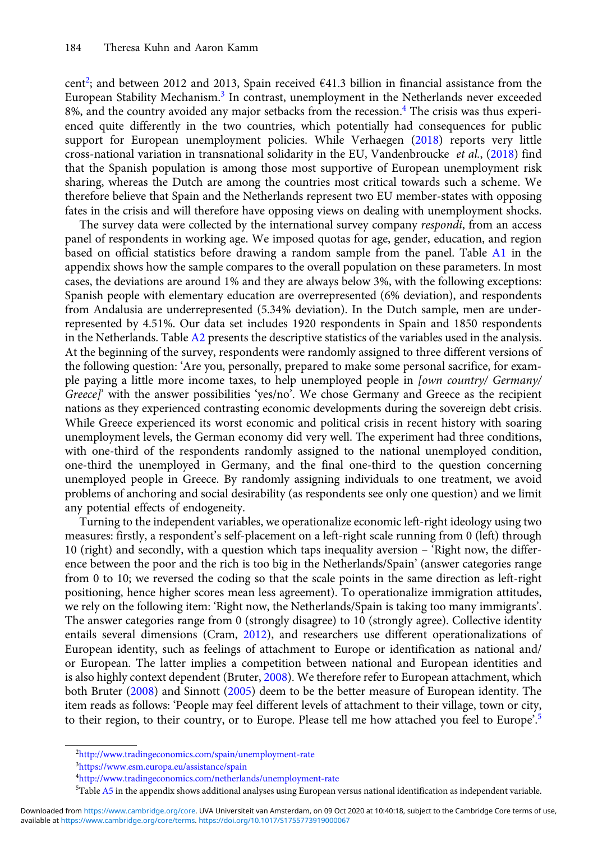cent<sup>2</sup>; and between 2012 and 2013, Spain received  $641.3$  billion in financial assistance from the European Stability Mechanism.<sup>3</sup> In contrast, unemployment in the Netherlands never exceeded 8%, and the country avoided any major setbacks from the recession.<sup>4</sup> The crisis was thus experienced quite differently in the two countries, which potentially had consequences for public support for European unemployment policies. While Verhaegen [\(2018](#page-17-0)) reports very little cross-national variation in transnational solidarity in the EU, Vandenbroucke et al., [\(2018\)](#page-17-0) find that the Spanish population is among those most supportive of European unemployment risk sharing, whereas the Dutch are among the countries most critical towards such a scheme. We therefore believe that Spain and the Netherlands represent two EU member-states with opposing fates in the crisis and will therefore have opposing views on dealing with unemployment shocks.

The survey data were collected by the international survey company respondi, from an access panel of respondents in working age. We imposed quotas for age, gender, education, and region based on official statistics before drawing a random sample from the panel. Table [A1](http://dx.doi.org/10.1017/S1755773919000067) in the appendix shows how the sample compares to the overall population on these parameters. In most cases, the deviations are around 1% and they are always below 3%, with the following exceptions: Spanish people with elementary education are overrepresented (6% deviation), and respondents from Andalusia are underrepresented (5.34% deviation). In the Dutch sample, men are underrepresented by 4.51%. Our data set includes 1920 respondents in Spain and 1850 respondents in the Netherlands. Table [A2](http://dx.doi.org/10.1017/S1755773919000067) presents the descriptive statistics of the variables used in the analysis. At the beginning of the survey, respondents were randomly assigned to three different versions of the following question: 'Are you, personally, prepared to make some personal sacrifice, for example paying a little more income taxes, to help unemployed people in [own country/ Germany/ Greece]' with the answer possibilities 'yes/no'. We chose Germany and Greece as the recipient nations as they experienced contrasting economic developments during the sovereign debt crisis. While Greece experienced its worst economic and political crisis in recent history with soaring unemployment levels, the German economy did very well. The experiment had three conditions, with one-third of the respondents randomly assigned to the national unemployed condition, one-third the unemployed in Germany, and the final one-third to the question concerning unemployed people in Greece. By randomly assigning individuals to one treatment, we avoid problems of anchoring and social desirability (as respondents see only one question) and we limit any potential effects of endogeneity.

Turning to the independent variables, we operationalize economic left-right ideology using two measures: firstly, a respondent's self-placement on a left-right scale running from 0 (left) through 10 (right) and secondly, with a question which taps inequality aversion – 'Right now, the difference between the poor and the rich is too big in the Netherlands/Spain' (answer categories range from 0 to 10; we reversed the coding so that the scale points in the same direction as left-right positioning, hence higher scores mean less agreement). To operationalize immigration attitudes, we rely on the following item: 'Right now, the Netherlands/Spain is taking too many immigrants'. The answer categories range from 0 (strongly disagree) to 10 (strongly agree). Collective identity entails several dimensions (Cram, [2012](#page-15-0)), and researchers use different operationalizations of European identity, such as feelings of attachment to Europe or identification as national and/ or European. The latter implies a competition between national and European identities and is also highly context dependent (Bruter, [2008](#page-15-0)). We therefore refer to European attachment, which both Bruter ([2008](#page-15-0)) and Sinnott ([2005](#page-16-0)) deem to be the better measure of European identity. The item reads as follows: 'People may feel different levels of attachment to their village, town or city, to their region, to their country, or to Europe. Please tell me how attached you feel to Europe'.<sup>5</sup>

<sup>2</sup> <http://www.tradingeconomics.com/spain/unemployment-rate>

<sup>3</sup> <https://www.esm.europa.eu/assistance/spain>

<sup>4</sup> <http://www.tradingeconomics.com/netherlands/unemployment-rate>

<sup>&</sup>lt;sup>5</sup>Table [A5](http://dx.doi.org/10.1017/S1755773919000067) in the appendix shows additional analyses using European versus national identification as independent variable.

available at <https://www.cambridge.org/core/terms>.<https://doi.org/10.1017/S1755773919000067> Downloaded from [https://www.cambridge.org/core.](https://www.cambridge.org/core) UVA Universiteit van Amsterdam, on 09 Oct 2020 at 10:40:18, subject to the Cambridge Core terms of use,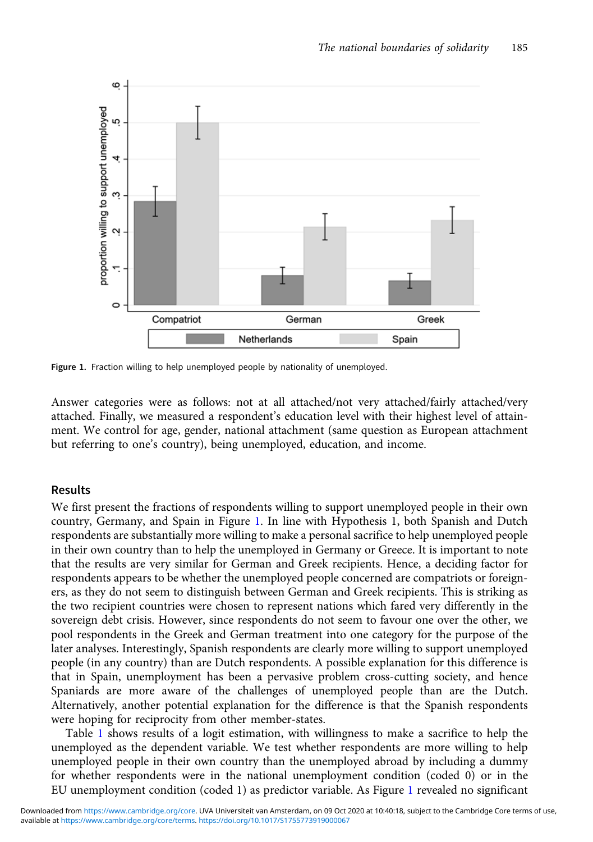

Figure 1. Fraction willing to help unemployed people by nationality of unemployed.

Answer categories were as follows: not at all attached/not very attached/fairly attached/very attached. Finally, we measured a respondent's education level with their highest level of attainment. We control for age, gender, national attachment (same question as European attachment but referring to one's country), being unemployed, education, and income.

#### Results

We first present the fractions of respondents willing to support unemployed people in their own country, Germany, and Spain in Figure 1. In line with Hypothesis 1, both Spanish and Dutch respondents are substantially more willing to make a personal sacrifice to help unemployed people in their own country than to help the unemployed in Germany or Greece. It is important to note that the results are very similar for German and Greek recipients. Hence, a deciding factor for respondents appears to be whether the unemployed people concerned are compatriots or foreigners, as they do not seem to distinguish between German and Greek recipients. This is striking as the two recipient countries were chosen to represent nations which fared very differently in the sovereign debt crisis. However, since respondents do not seem to favour one over the other, we pool respondents in the Greek and German treatment into one category for the purpose of the later analyses. Interestingly, Spanish respondents are clearly more willing to support unemployed people (in any country) than are Dutch respondents. A possible explanation for this difference is that in Spain, unemployment has been a pervasive problem cross-cutting society, and hence Spaniards are more aware of the challenges of unemployed people than are the Dutch. Alternatively, another potential explanation for the difference is that the Spanish respondents were hoping for reciprocity from other member-states.

Table [1](#page-8-0) shows results of a logit estimation, with willingness to make a sacrifice to help the unemployed as the dependent variable. We test whether respondents are more willing to help unemployed people in their own country than the unemployed abroad by including a dummy for whether respondents were in the national unemployment condition (coded 0) or in the EU unemployment condition (coded 1) as predictor variable. As Figure 1 revealed no significant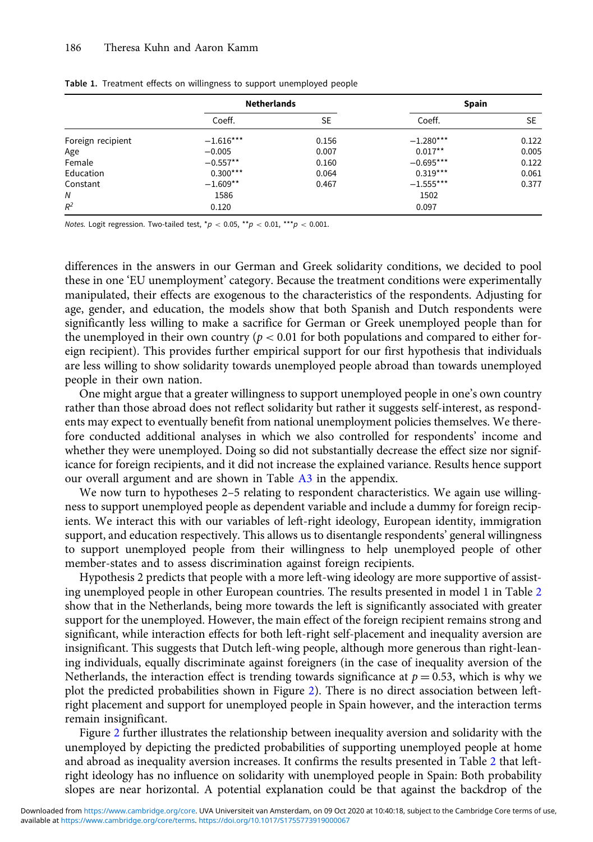|                   | <b>Netherlands</b> |       | Spain       |       |  |
|-------------------|--------------------|-------|-------------|-------|--|
|                   | Coeff.             | SE    | Coeff.      | SE    |  |
| Foreign recipient | $-1.616***$        | 0.156 | $-1.280***$ | 0.122 |  |
| Age               | $-0.005$           | 0.007 | $0.017**$   | 0.005 |  |
| Female            | $-0.557**$         | 0.160 | $-0.695***$ | 0.122 |  |
| Education         | $0.300***$         | 0.064 | $0.319***$  | 0.061 |  |
| Constant          | $-1.609**$         | 0.467 | $-1.555***$ | 0.377 |  |
| N                 | 1586               |       | 1502        |       |  |
| $R^2$             | 0.120              |       | 0.097       |       |  |

<span id="page-8-0"></span>

|  |  |  |  |  |  |  | Table 1. Treatment effects on willingness to support unemployed people |  |
|--|--|--|--|--|--|--|------------------------------------------------------------------------|--|
|--|--|--|--|--|--|--|------------------------------------------------------------------------|--|

Notes. Logit regression. Two-tailed test,  $p < 0.05$ ,  $p < 0.01$ ,  $p > 0.001$ .

differences in the answers in our German and Greek solidarity conditions, we decided to pool these in one 'EU unemployment' category. Because the treatment conditions were experimentally manipulated, their effects are exogenous to the characteristics of the respondents. Adjusting for age, gender, and education, the models show that both Spanish and Dutch respondents were significantly less willing to make a sacrifice for German or Greek unemployed people than for the unemployed in their own country ( $p < 0.01$  for both populations and compared to either foreign recipient). This provides further empirical support for our first hypothesis that individuals are less willing to show solidarity towards unemployed people abroad than towards unemployed people in their own nation.

One might argue that a greater willingness to support unemployed people in one's own country rather than those abroad does not reflect solidarity but rather it suggests self-interest, as respondents may expect to eventually benefit from national unemployment policies themselves. We therefore conducted additional analyses in which we also controlled for respondents' income and whether they were unemployed. Doing so did not substantially decrease the effect size nor significance for foreign recipients, and it did not increase the explained variance. Results hence support our overall argument and are shown in Table [A3](http://dx.doi.org/10.1017/S1755773919000067) in the appendix.

We now turn to hypotheses 2–5 relating to respondent characteristics. We again use willingness to support unemployed people as dependent variable and include a dummy for foreign recipients. We interact this with our variables of left-right ideology, European identity, immigration support, and education respectively. This allows us to disentangle respondents' general willingness to support unemployed people from their willingness to help unemployed people of other member-states and to assess discrimination against foreign recipients.

Hypothesis 2 predicts that people with a more left-wing ideology are more supportive of assisting unemployed people in other European countries. The results presented in model 1 in Table [2](#page-9-0) show that in the Netherlands, being more towards the left is significantly associated with greater support for the unemployed. However, the main effect of the foreign recipient remains strong and significant, while interaction effects for both left-right self-placement and inequality aversion are insignificant. This suggests that Dutch left-wing people, although more generous than right-leaning individuals, equally discriminate against foreigners (in the case of inequality aversion of the Netherlands, the interaction effect is trending towards significance at  $p = 0.53$ , which is why we plot the predicted probabilities shown in Figure [2\)](#page-9-0). There is no direct association between leftright placement and support for unemployed people in Spain however, and the interaction terms remain insignificant.

Figure [2](#page-9-0) further illustrates the relationship between inequality aversion and solidarity with the unemployed by depicting the predicted probabilities of supporting unemployed people at home and abroad as inequality aversion increases. It confirms the results presented in Table [2](#page-9-0) that leftright ideology has no influence on solidarity with unemployed people in Spain: Both probability slopes are near horizontal. A potential explanation could be that against the backdrop of the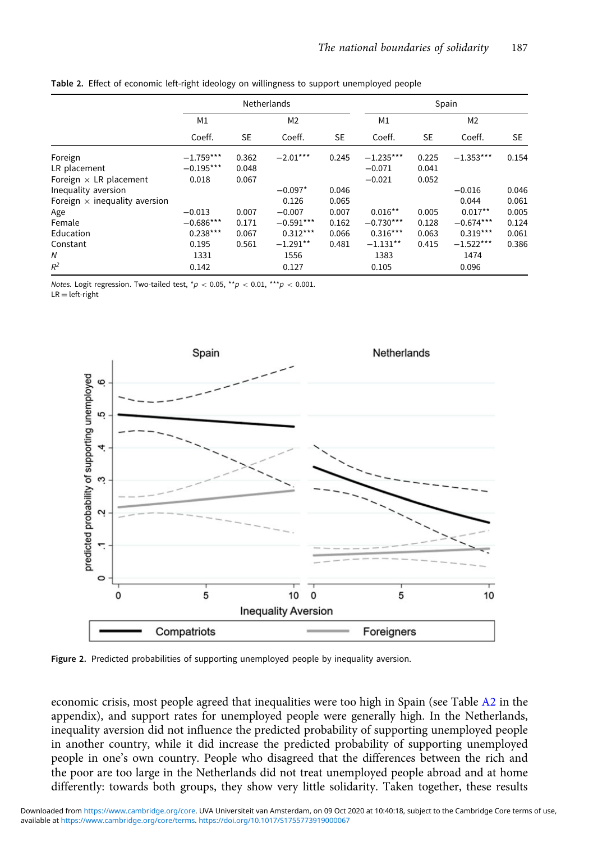|                                      |             | Netherlands |                |           |             | Spain          |             |           |  |  |
|--------------------------------------|-------------|-------------|----------------|-----------|-------------|----------------|-------------|-----------|--|--|
|                                      | M1          |             | M <sub>2</sub> |           | M1          | M <sub>2</sub> |             |           |  |  |
|                                      | Coeff.      | <b>SE</b>   | Coeff.         | <b>SE</b> | Coeff.      | <b>SE</b>      | Coeff.      | <b>SE</b> |  |  |
| Foreign                              | $-1.759***$ | 0.362       | $-2.01***$     | 0.245     | $-1.235***$ | 0.225          | $-1.353***$ | 0.154     |  |  |
| LR placement                         | $-0.195***$ | 0.048       |                |           | $-0.071$    | 0.041          |             |           |  |  |
| Foreign $\times$ LR placement        | 0.018       | 0.067       |                |           | $-0.021$    | 0.052          |             |           |  |  |
| Inequality aversion                  |             |             | $-0.097*$      | 0.046     |             |                | $-0.016$    | 0.046     |  |  |
| Foreign $\times$ inequality aversion |             |             | 0.126          | 0.065     |             |                | 0.044       | 0.061     |  |  |
| Age                                  | $-0.013$    | 0.007       | $-0.007$       | 0.007     | $0.016**$   | 0.005          | $0.017**$   | 0.005     |  |  |
| Female                               | $-0.686***$ | 0.171       | $-0.591***$    | 0.162     | $-0.730***$ | 0.128          | $-0.674***$ | 0.124     |  |  |
| Education                            | $0.238***$  | 0.067       | $0.312***$     | 0.066     | $0.316***$  | 0.063          | $0.319***$  | 0.061     |  |  |
| Constant                             | 0.195       | 0.561       | $-1.291**$     | 0.481     | $-1.131**$  | 0.415          | $-1.522***$ | 0.386     |  |  |
| N                                    | 1331        |             | 1556           |           | 1383        |                | 1474        |           |  |  |
| $R^2$                                | 0.142       |             | 0.127          |           | 0.105       |                | 0.096       |           |  |  |

<span id="page-9-0"></span>Table 2. Effect of economic left-right ideology on willingness to support unemployed people

Notes. Logit regression. Two-tailed test,  $p < 0.05$ ,  $\star p < 0.01$ ,  $\star \star p < 0.001$ .

 $LR = left-right$ 



Figure 2. Predicted probabilities of supporting unemployed people by inequality aversion.

economic crisis, most people agreed that inequalities were too high in Spain (see Table  $A2$  in the appendix), and support rates for unemployed people were generally high. In the Netherlands, inequality aversion did not influence the predicted probability of supporting unemployed people in another country, while it did increase the predicted probability of supporting unemployed people in one's own country. People who disagreed that the differences between the rich and the poor are too large in the Netherlands did not treat unemployed people abroad and at home differently: towards both groups, they show very little solidarity. Taken together, these results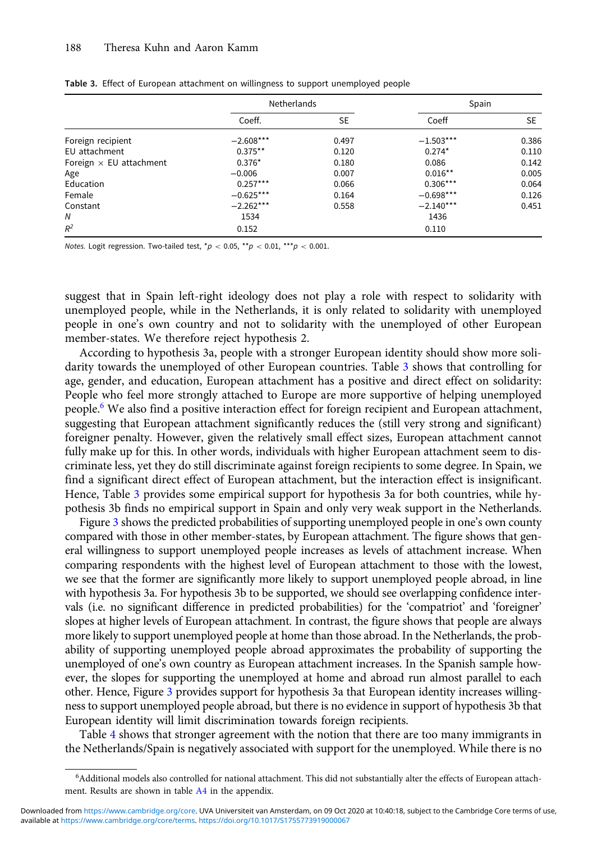|                                | Netherlands |           | Spain       |       |  |
|--------------------------------|-------------|-----------|-------------|-------|--|
|                                | Coeff.      | <b>SE</b> | Coeff       | SE    |  |
| Foreign recipient              | $-2.608***$ | 0.497     | $-1.503***$ | 0.386 |  |
| EU attachment                  | $0.375**$   | 0.120     | $0.274*$    | 0.110 |  |
| Foreign $\times$ EU attachment | $0.376*$    | 0.180     | 0.086       | 0.142 |  |
| Age                            | $-0.006$    | 0.007     | $0.016**$   | 0.005 |  |
| Education                      | $0.257***$  | 0.066     | $0.306***$  | 0.064 |  |
| Female                         | $-0.625***$ | 0.164     | $-0.698***$ | 0.126 |  |
| Constant                       | $-2.262***$ | 0.558     | $-2.140***$ | 0.451 |  |
| N                              | 1534        |           | 1436        |       |  |
| $R^2$                          | 0.152       |           | 0.110       |       |  |

|  |  |  |  |  |  |  |  | Table 3. Effect of European attachment on willingness to support unemployed people |  |  |
|--|--|--|--|--|--|--|--|------------------------------------------------------------------------------------|--|--|
|--|--|--|--|--|--|--|--|------------------------------------------------------------------------------------|--|--|

Notes. Logit regression. Two-tailed test,  $p < 0.05$ ,  $p < 0.01$ ,  $p > 0.001$ .

suggest that in Spain left-right ideology does not play a role with respect to solidarity with unemployed people, while in the Netherlands, it is only related to solidarity with unemployed people in one's own country and not to solidarity with the unemployed of other European member-states. We therefore reject hypothesis 2.

According to hypothesis 3a, people with a stronger European identity should show more solidarity towards the unemployed of other European countries. Table 3 shows that controlling for age, gender, and education, European attachment has a positive and direct effect on solidarity: People who feel more strongly attached to Europe are more supportive of helping unemployed people.<sup>6</sup> We also find a positive interaction effect for foreign recipient and European attachment, suggesting that European attachment significantly reduces the (still very strong and significant) foreigner penalty. However, given the relatively small effect sizes, European attachment cannot fully make up for this. In other words, individuals with higher European attachment seem to discriminate less, yet they do still discriminate against foreign recipients to some degree. In Spain, we find a significant direct effect of European attachment, but the interaction effect is insignificant. Hence, Table 3 provides some empirical support for hypothesis 3a for both countries, while hypothesis 3b finds no empirical support in Spain and only very weak support in the Netherlands.

Figure [3](#page-11-0) shows the predicted probabilities of supporting unemployed people in one's own county compared with those in other member-states, by European attachment. The figure shows that general willingness to support unemployed people increases as levels of attachment increase. When comparing respondents with the highest level of European attachment to those with the lowest, we see that the former are significantly more likely to support unemployed people abroad, in line with hypothesis 3a. For hypothesis 3b to be supported, we should see overlapping confidence intervals (i.e. no significant difference in predicted probabilities) for the 'compatriot' and 'foreigner' slopes at higher levels of European attachment. In contrast, the figure shows that people are always more likely to support unemployed people at home than those abroad. In the Netherlands, the probability of supporting unemployed people abroad approximates the probability of supporting the unemployed of one's own country as European attachment increases. In the Spanish sample however, the slopes for supporting the unemployed at home and abroad run almost parallel to each other. Hence, Figure [3](#page-11-0) provides support for hypothesis 3a that European identity increases willingness to support unemployed people abroad, but there is no evidence in support of hypothesis 3b that European identity will limit discrimination towards foreign recipients.

Table [4](#page-11-0) shows that stronger agreement with the notion that there are too many immigrants in the Netherlands/Spain is negatively associated with support for the unemployed. While there is no

<sup>6</sup> Additional models also controlled for national attachment. This did not substantially alter the effects of European attachment. Results are shown in table [A4](http://dx.doi.org/10.1017/S1755773919000067) in the appendix.

available at <https://www.cambridge.org/core/terms>.<https://doi.org/10.1017/S1755773919000067> Downloaded from [https://www.cambridge.org/core.](https://www.cambridge.org/core) UVA Universiteit van Amsterdam, on 09 Oct 2020 at 10:40:18, subject to the Cambridge Core terms of use,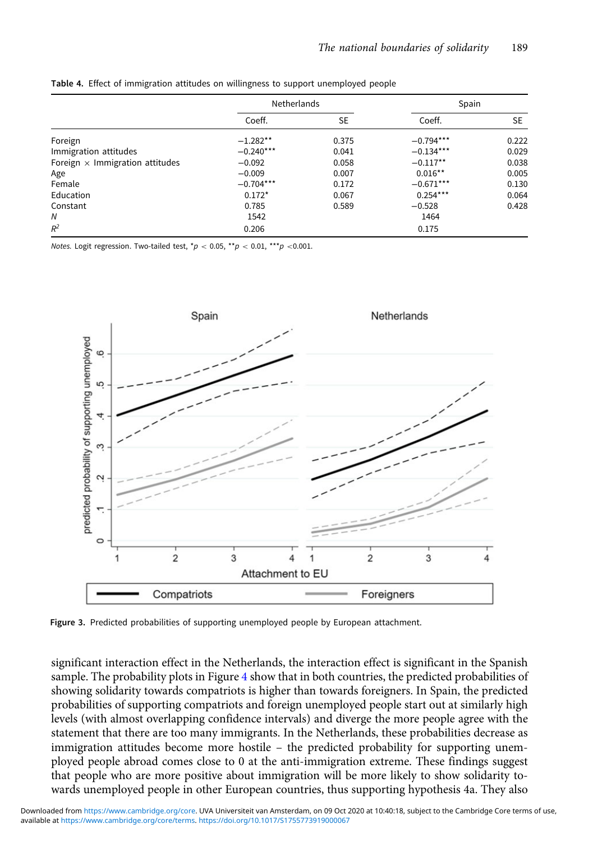| <b>Table 4.</b> Lifect of immigration attitudes on withighess to support unemployed people |       |             |           |  |  |  |  |  |  |  |
|--------------------------------------------------------------------------------------------|-------|-------------|-----------|--|--|--|--|--|--|--|
|                                                                                            |       | Spain       |           |  |  |  |  |  |  |  |
| Coeff.                                                                                     | SE    | Coeff.      | <b>SE</b> |  |  |  |  |  |  |  |
| $-1.282**$                                                                                 | 0.375 | $-0.794***$ | 0.222     |  |  |  |  |  |  |  |
| $-0.240***$                                                                                | 0.041 | $-0.134***$ | 0.029     |  |  |  |  |  |  |  |
| $-0.092$                                                                                   | 0.058 | $-0.117**$  | 0.038     |  |  |  |  |  |  |  |
| $-0.009$                                                                                   | 0.007 | $0.016**$   | 0.005     |  |  |  |  |  |  |  |
| $-0.704***$                                                                                | 0.172 | $-0.671***$ | 0.130     |  |  |  |  |  |  |  |
| $0.172*$                                                                                   | 0.067 | $0.254***$  | 0.064     |  |  |  |  |  |  |  |
| 0.785                                                                                      | 0.589 | $-0.528$    | 0.428     |  |  |  |  |  |  |  |
| 1542                                                                                       |       | 1464        |           |  |  |  |  |  |  |  |
| 0.206                                                                                      |       | 0.175       |           |  |  |  |  |  |  |  |
|                                                                                            |       | Netherlands |           |  |  |  |  |  |  |  |

<span id="page-11-0"></span>Table 4. Effect of immigration attitudes on willingness to support unemployed people

Notes. Logit regression. Two-tailed test,  $p < 0.05$ ,  $\rightarrow p < 0.01$ ,  $\rightarrow p < 0.001$ .



Figure 3. Predicted probabilities of supporting unemployed people by European attachment.

significant interaction effect in the Netherlands, the interaction effect is significant in the Spanish sample. The probability plots in Figure [4](#page-12-0) show that in both countries, the predicted probabilities of showing solidarity towards compatriots is higher than towards foreigners. In Spain, the predicted probabilities of supporting compatriots and foreign unemployed people start out at similarly high levels (with almost overlapping confidence intervals) and diverge the more people agree with the statement that there are too many immigrants. In the Netherlands, these probabilities decrease as immigration attitudes become more hostile – the predicted probability for supporting unemployed people abroad comes close to 0 at the anti-immigration extreme. These findings suggest that people who are more positive about immigration will be more likely to show solidarity towards unemployed people in other European countries, thus supporting hypothesis 4a. They also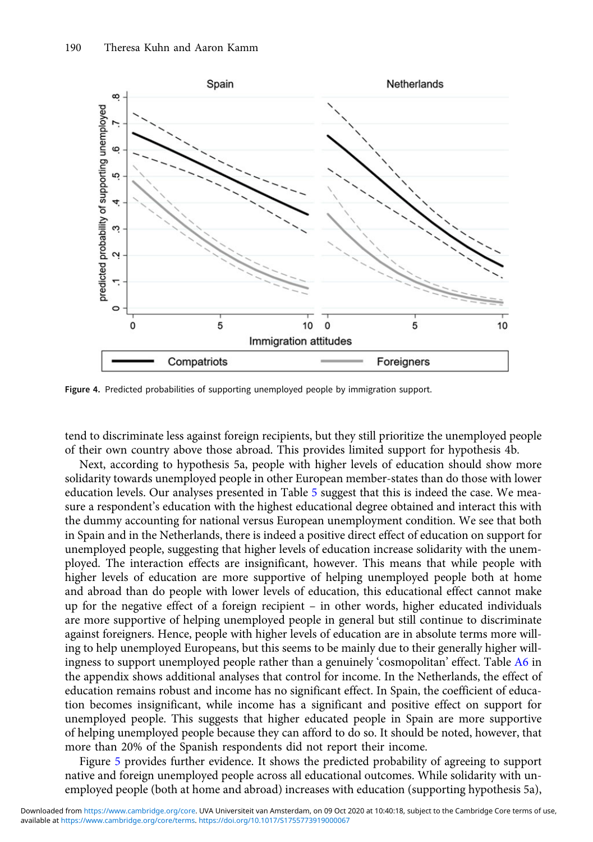<span id="page-12-0"></span>

Figure 4. Predicted probabilities of supporting unemployed people by immigration support.

tend to discriminate less against foreign recipients, but they still prioritize the unemployed people of their own country above those abroad. This provides limited support for hypothesis 4b.

Next, according to hypothesis 5a, people with higher levels of education should show more solidarity towards unemployed people in other European member-states than do those with lower education levels. Our analyses presented in Table [5](#page-13-0) suggest that this is indeed the case. We measure a respondent's education with the highest educational degree obtained and interact this with the dummy accounting for national versus European unemployment condition. We see that both in Spain and in the Netherlands, there is indeed a positive direct effect of education on support for unemployed people, suggesting that higher levels of education increase solidarity with the unemployed. The interaction effects are insignificant, however. This means that while people with higher levels of education are more supportive of helping unemployed people both at home and abroad than do people with lower levels of education, this educational effect cannot make up for the negative effect of a foreign recipient – in other words, higher educated individuals are more supportive of helping unemployed people in general but still continue to discriminate against foreigners. Hence, people with higher levels of education are in absolute terms more willing to help unemployed Europeans, but this seems to be mainly due to their generally higher willingness to support unemployed people rather than a genuinely 'cosmopolitan' effect. Table [A6](http://dx.doi.org/10.1017/S1755773919000067) in the appendix shows additional analyses that control for income. In the Netherlands, the effect of education remains robust and income has no significant effect. In Spain, the coefficient of education becomes insignificant, while income has a significant and positive effect on support for unemployed people. This suggests that higher educated people in Spain are more supportive of helping unemployed people because they can afford to do so. It should be noted, however, that more than 20% of the Spanish respondents did not report their income.

Figure [5](#page-13-0) provides further evidence. It shows the predicted probability of agreeing to support native and foreign unemployed people across all educational outcomes. While solidarity with unemployed people (both at home and abroad) increases with education (supporting hypothesis 5a),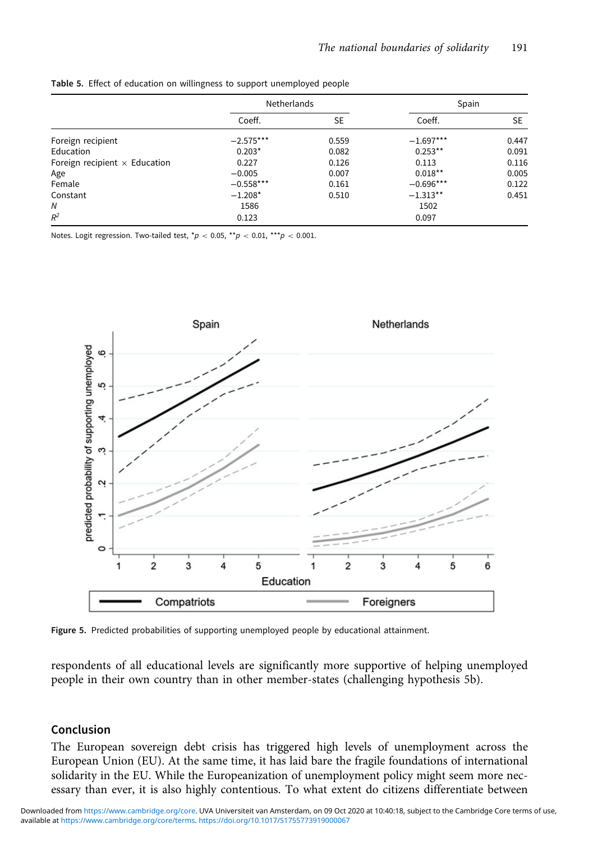|                                      | Netherlands |       | Spain       |           |
|--------------------------------------|-------------|-------|-------------|-----------|
|                                      | Coeff.      | SE    | Coeff.      | <b>SE</b> |
| Foreign recipient                    | $-2.575***$ | 0.559 | $-1.697***$ | 0.447     |
| Education                            | $0.203*$    | 0.082 | $0.253**$   | 0.091     |
| Foreign recipient $\times$ Education | 0.227       | 0.126 | 0.113       | 0.116     |
| Age                                  | $-0.005$    | 0.007 | $0.018**$   | 0.005     |
| Female                               | $-0.558***$ | 0.161 | $-0.696***$ | 0.122     |
| Constant                             | $-1.208*$   | 0.510 | $-1.313**$  | 0.451     |
| N                                    | 1586        |       | 1502        |           |
| $R^2$                                | 0.123       |       | 0.097       |           |

<span id="page-13-0"></span>Table 5. Effect of education on willingness to support unemployed people

Notes. Logit regression. Two-tailed test,  $p < 0.05$ ,  $\rightarrow p < 0.01$ ,  $\rightarrow p < 0.001$ .



Figure 5. Predicted probabilities of supporting unemployed people by educational attainment.

respondents of all educational levels are significantly more supportive of helping unemployed people in their own country than in other member-states (challenging hypothesis 5b).

### Conclusion

The European sovereign debt crisis has triggered high levels of unemployment across the European Union (EU). At the same time, it has laid bare the fragile foundations of international solidarity in the EU. While the Europeanization of unemployment policy might seem more necessary than ever, it is also highly contentious. To what extent do citizens differentiate between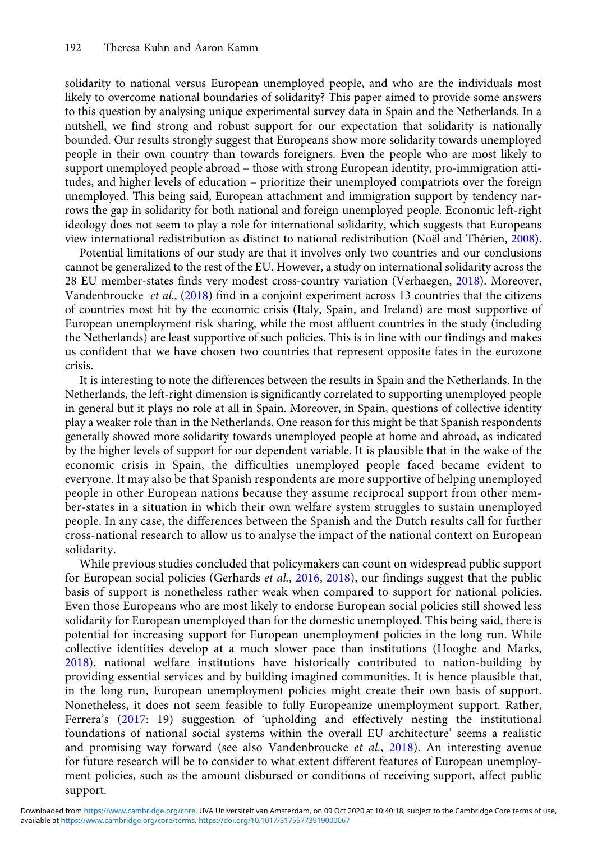solidarity to national versus European unemployed people, and who are the individuals most likely to overcome national boundaries of solidarity? This paper aimed to provide some answers to this question by analysing unique experimental survey data in Spain and the Netherlands. In a nutshell, we find strong and robust support for our expectation that solidarity is nationally bounded. Our results strongly suggest that Europeans show more solidarity towards unemployed people in their own country than towards foreigners. Even the people who are most likely to support unemployed people abroad – those with strong European identity, pro-immigration attitudes, and higher levels of education – prioritize their unemployed compatriots over the foreign unemployed. This being said, European attachment and immigration support by tendency narrows the gap in solidarity for both national and foreign unemployed people. Economic left-right ideology does not seem to play a role for international solidarity, which suggests that Europeans view international redistribution as distinct to national redistribution (Noël and Thérien, [2008\)](#page-16-0).

Potential limitations of our study are that it involves only two countries and our conclusions cannot be generalized to the rest of the EU. However, a study on international solidarity across the 28 EU member-states finds very modest cross-country variation (Verhaegen, [2018](#page-17-0)). Moreover, Vandenbroucke et al., ([2018](#page-17-0)) find in a conjoint experiment across 13 countries that the citizens of countries most hit by the economic crisis (Italy, Spain, and Ireland) are most supportive of European unemployment risk sharing, while the most affluent countries in the study (including the Netherlands) are least supportive of such policies. This is in line with our findings and makes us confident that we have chosen two countries that represent opposite fates in the eurozone crisis.

It is interesting to note the differences between the results in Spain and the Netherlands. In the Netherlands, the left-right dimension is significantly correlated to supporting unemployed people in general but it plays no role at all in Spain. Moreover, in Spain, questions of collective identity play a weaker role than in the Netherlands. One reason for this might be that Spanish respondents generally showed more solidarity towards unemployed people at home and abroad, as indicated by the higher levels of support for our dependent variable. It is plausible that in the wake of the economic crisis in Spain, the difficulties unemployed people faced became evident to everyone. It may also be that Spanish respondents are more supportive of helping unemployed people in other European nations because they assume reciprocal support from other member-states in a situation in which their own welfare system struggles to sustain unemployed people. In any case, the differences between the Spanish and the Dutch results call for further cross-national research to allow us to analyse the impact of the national context on European solidarity.

While previous studies concluded that policymakers can count on widespread public support for European social policies (Gerhards et al., [2016,](#page-15-0) [2018\)](#page-16-0), our findings suggest that the public basis of support is nonetheless rather weak when compared to support for national policies. Even those Europeans who are most likely to endorse European social policies still showed less solidarity for European unemployed than for the domestic unemployed. This being said, there is potential for increasing support for European unemployment policies in the long run. While collective identities develop at a much slower pace than institutions (Hooghe and Marks, [2018](#page-16-0)), national welfare institutions have historically contributed to nation-building by providing essential services and by building imagined communities. It is hence plausible that, in the long run, European unemployment policies might create their own basis of support. Nonetheless, it does not seem feasible to fully Europeanize unemployment support. Rather, Ferrera's [\(2017](#page-15-0): 19) suggestion of 'upholding and effectively nesting the institutional foundations of national social systems within the overall EU architecture' seems a realistic and promising way forward (see also Vandenbroucke et al., [2018\)](#page-17-0). An interesting avenue for future research will be to consider to what extent different features of European unemployment policies, such as the amount disbursed or conditions of receiving support, affect public support.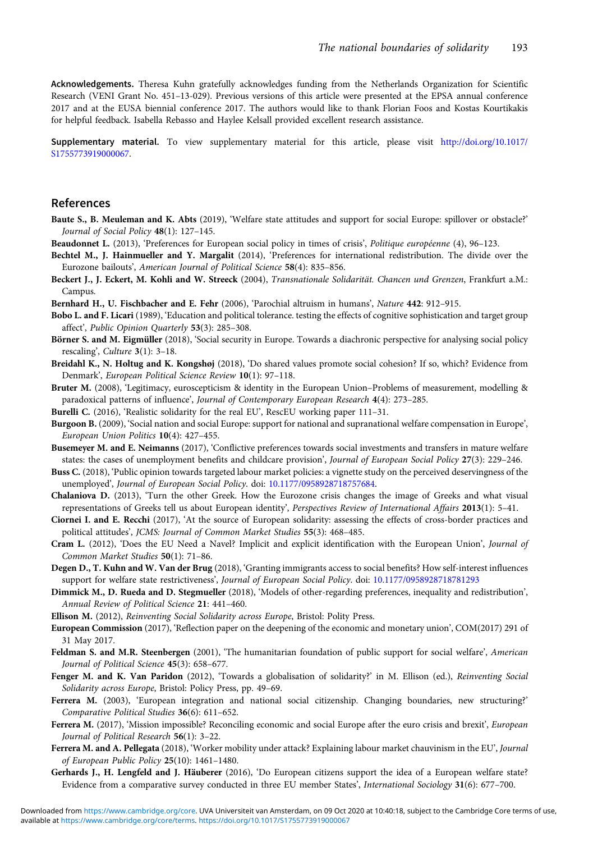<span id="page-15-0"></span>Acknowledgements. Theresa Kuhn gratefully acknowledges funding from the Netherlands Organization for Scientific Research (VENI Grant No. 451–13-029). Previous versions of this article were presented at the EPSA annual conference 2017 and at the EUSA biennial conference 2017. The authors would like to thank Florian Foos and Kostas Kourtikakis for helpful feedback. Isabella Rebasso and Haylee Kelsall provided excellent research assistance.

Supplementary material. To view supplementary material for this article, please visit [http://doi.org/10.1017/](http://doi.org/10.1017/S1755773919000067) [S1755773919000067](http://doi.org/10.1017/S1755773919000067).

#### References

- Baute S., B. Meuleman and K. Abts (2019), 'Welfare state attitudes and support for social Europe: spillover or obstacle?' Journal of Social Policy 48(1): 127–145.
- Beaudonnet L. (2013), 'Preferences for European social policy in times of crisis', Politique européenne (4), 96-123.
- Bechtel M., J. Hainmueller and Y. Margalit (2014), 'Preferences for international redistribution. The divide over the Eurozone bailouts', American Journal of Political Science 58(4): 835–856.
- Beckert J., J. Eckert, M. Kohli and W. Streeck (2004), Transnationale Solidarität. Chancen und Grenzen, Frankfurt a.M.: Campus.
- Bernhard H., U. Fischbacher and E. Fehr (2006), 'Parochial altruism in humans', Nature 442: 912-915.
- Bobo L. and F. Licari (1989), 'Education and political tolerance. testing the effects of cognitive sophistication and target group affect', Public Opinion Quarterly 53(3): 285–308.
- Börner S. and M. Eigmüller (2018), 'Social security in Europe. Towards a diachronic perspective for analysing social policy rescaling', Culture 3(1): 3–18.
- Breidahl K., N. Holtug and K. Kongshøj (2018), 'Do shared values promote social cohesion? If so, which? Evidence from Denmark', European Political Science Review 10(1): 97–118.
- Bruter M. (2008), 'Legitimacy, euroscepticism & identity in the European Union–Problems of measurement, modelling & paradoxical patterns of influence', Journal of Contemporary European Research 4(4): 273–285.
- Burelli C. (2016), 'Realistic solidarity for the real EU', RescEU working paper 111–31.
- Burgoon B. (2009), 'Social nation and social Europe: support for national and supranational welfare compensation in Europe', European Union Politics 10(4): 427–455.
- Busemeyer M. and E. Neimanns (2017), 'Conflictive preferences towards social investments and transfers in mature welfare states: the cases of unemployment benefits and childcare provision', Journal of European Social Policy 27(3): 229-246.
- Buss C. (2018), 'Public opinion towards targeted labour market policies: a vignette study on the perceived deservingness of the unemployed', Journal of European Social Policy. doi: [10.1177/0958928718757684.](https://doi.org/10.1177/0958928718757684)
- Chalaniova D. (2013), 'Turn the other Greek. How the Eurozone crisis changes the image of Greeks and what visual representations of Greeks tell us about European identity', Perspectives Review of International Affairs 2013(1): 5–41.
- Ciornei I. and E. Recchi (2017), 'At the source of European solidarity: assessing the effects of cross-border practices and political attitudes', JCMS: Journal of Common Market Studies 55(3): 468–485.
- Cram L. (2012), 'Does the EU Need a Navel? Implicit and explicit identification with the European Union', Journal of Common Market Studies 50(1): 71–86.
- Degen D., T. Kuhn and W. Van der Brug (2018), 'Granting immigrants access to social benefits? How self-interest influences support for welfare state restrictiveness', Journal of European Social Policy. doi: [10.1177/0958928718781293](https://doi.org/10.1177/0958928718781293)
- Dimmick M., D. Rueda and D. Stegmueller (2018), 'Models of other-regarding preferences, inequality and redistribution', Annual Review of Political Science 21: 441–460.
- Ellison M. (2012), Reinventing Social Solidarity across Europe, Bristol: Polity Press.
- European Commission (2017), 'Reflection paper on the deepening of the economic and monetary union', COM(2017) 291 of 31 May 2017.
- Feldman S. and M.R. Steenbergen (2001), 'The humanitarian foundation of public support for social welfare', American Journal of Political Science 45(3): 658–677.
- Fenger M. and K. Van Paridon (2012), 'Towards a globalisation of solidarity?' in M. Ellison (ed.), Reinventing Social Solidarity across Europe, Bristol: Policy Press, pp. 49–69.
- Ferrera M. (2003), 'European integration and national social citizenship. Changing boundaries, new structuring?' Comparative Political Studies 36(6): 611–652.
- Ferrera M. (2017), 'Mission impossible? Reconciling economic and social Europe after the euro crisis and brexit', European Journal of Political Research 56(1): 3–22.
- Ferrera M. and A. Pellegata (2018), 'Worker mobility under attack? Explaining labour market chauvinism in the EU', Journal of European Public Policy 25(10): 1461–1480.
- Gerhards J., H. Lengfeld and J. Häuberer (2016), 'Do European citizens support the idea of a European welfare state? Evidence from a comparative survey conducted in three EU member States', International Sociology 31(6): 677–700.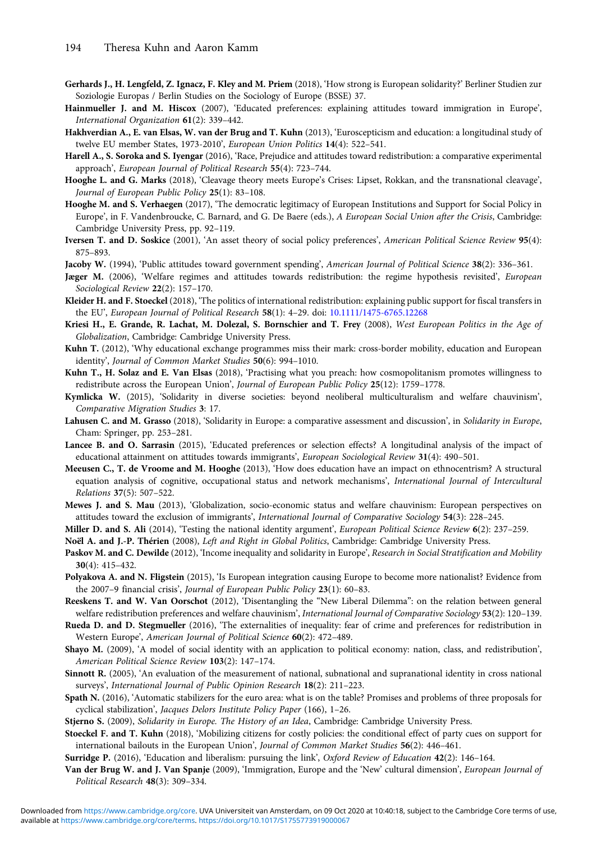- <span id="page-16-0"></span>Gerhards J., H. Lengfeld, Z. Ignacz, F. Kley and M. Priem (2018), 'How strong is European solidarity?' Berliner Studien zur Soziologie Europas / Berlin Studies on the Sociology of Europe (BSSE) 37.
- Hainmueller J. and M. Hiscox (2007), 'Educated preferences: explaining attitudes toward immigration in Europe', International Organization 61(2): 339–442.
- Hakhverdian A., E. van Elsas, W. van der Brug and T. Kuhn (2013), 'Euroscepticism and education: a longitudinal study of twelve EU member States, 1973-2010', European Union Politics 14(4): 522–541.
- Harell A., S. Soroka and S. Iyengar (2016), 'Race, Prejudice and attitudes toward redistribution: a comparative experimental approach', European Journal of Political Research 55(4): 723–744.
- Hooghe L. and G. Marks (2018), 'Cleavage theory meets Europe's Crises: Lipset, Rokkan, and the transnational cleavage', Journal of European Public Policy 25(1): 83–108.
- Hooghe M. and S. Verhaegen (2017), 'The democratic legitimacy of European Institutions and Support for Social Policy in Europe', in F. Vandenbroucke, C. Barnard, and G. De Baere (eds.), A European Social Union after the Crisis, Cambridge: Cambridge University Press, pp. 92–119.
- Iversen T. and D. Soskice (2001), 'An asset theory of social policy preferences', American Political Science Review 95(4): 875–893.
- Jacoby W. (1994), 'Public attitudes toward government spending', American Journal of Political Science 38(2): 336-361.
- Jæger M. (2006), 'Welfare regimes and attitudes towards redistribution: the regime hypothesis revisited', European Sociological Review 22(2): 157–170.
- Kleider H. and F. Stoeckel (2018), 'The politics of international redistribution: explaining public support for fiscal transfers in the EU', European Journal of Political Research 58(1): 4–29. doi: [10.1111/1475-6765.12268](https://doi.org/10.1111/1475-6765.12268)
- Kriesi H., E. Grande, R. Lachat, M. Dolezal, S. Bornschier and T. Frey (2008), West European Politics in the Age of Globalization, Cambridge: Cambridge University Press.
- Kuhn T. (2012), 'Why educational exchange programmes miss their mark: cross-border mobility, education and European identity', Journal of Common Market Studies 50(6): 994–1010.
- Kuhn T., H. Solaz and E. Van Elsas (2018), 'Practising what you preach: how cosmopolitanism promotes willingness to redistribute across the European Union', Journal of European Public Policy 25(12): 1759–1778.
- Kymlicka W. (2015), 'Solidarity in diverse societies: beyond neoliberal multiculturalism and welfare chauvinism', Comparative Migration Studies 3: 17.
- Lahusen C. and M. Grasso (2018), 'Solidarity in Europe: a comparative assessment and discussion', in Solidarity in Europe, Cham: Springer, pp. 253–281.
- Lancee B. and O. Sarrasin (2015), 'Educated preferences or selection effects? A longitudinal analysis of the impact of educational attainment on attitudes towards immigrants', European Sociological Review 31(4): 490–501.
- Meeusen C., T. de Vroome and M. Hooghe (2013), 'How does education have an impact on ethnocentrism? A structural equation analysis of cognitive, occupational status and network mechanisms', International Journal of Intercultural Relations 37(5): 507–522.
- Mewes J. and S. Mau (2013), 'Globalization, socio-economic status and welfare chauvinism: European perspectives on attitudes toward the exclusion of immigrants', International Journal of Comparative Sociology 54(3): 228–245.
- Miller D. and S. Ali (2014), 'Testing the national identity argument', European Political Science Review 6(2): 237-259.
- Noël A. and J.-P. Thérien (2008), Left and Right in Global Politics, Cambridge: Cambridge University Press.
- Paskov M. and C. Dewilde (2012), 'Income inequality and solidarity in Europe', Research in Social Stratification and Mobility 30(4): 415–432.
- Polyakova A. and N. Fligstein (2015), 'Is European integration causing Europe to become more nationalist? Evidence from the 2007–9 financial crisis', Journal of European Public Policy 23(1): 60–83.

Reeskens T. and W. Van Oorschot (2012), 'Disentangling the "New Liberal Dilemma": on the relation between general welfare redistribution preferences and welfare chauvinism', International Journal of Comparative Sociology 53(2): 120-139.

- Rueda D. and D. Stegmueller (2016), 'The externalities of inequality: fear of crime and preferences for redistribution in Western Europe', American Journal of Political Science 60(2): 472–489.
- Shayo M. (2009), 'A model of social identity with an application to political economy: nation, class, and redistribution', American Political Science Review 103(2): 147–174.
- Sinnott R. (2005), 'An evaluation of the measurement of national, subnational and supranational identity in cross national surveys', International Journal of Public Opinion Research 18(2): 211-223.
- Spath N. (2016), 'Automatic stabilizers for the euro area: what is on the table? Promises and problems of three proposals for cyclical stabilization', Jacques Delors Institute Policy Paper (166), 1–26.
- Stjerno S. (2009), Solidarity in Europe. The History of an Idea, Cambridge: Cambridge University Press.
- Stoeckel F. and T. Kuhn (2018), 'Mobilizing citizens for costly policies: the conditional effect of party cues on support for international bailouts in the European Union', Journal of Common Market Studies 56(2): 446–461.
- Surridge P. (2016), 'Education and liberalism: pursuing the link', Oxford Review of Education 42(2): 146-164.
- Van der Brug W. and J. Van Spanje (2009), 'Immigration, Europe and the 'New' cultural dimension', European Journal of Political Research 48(3): 309–334.